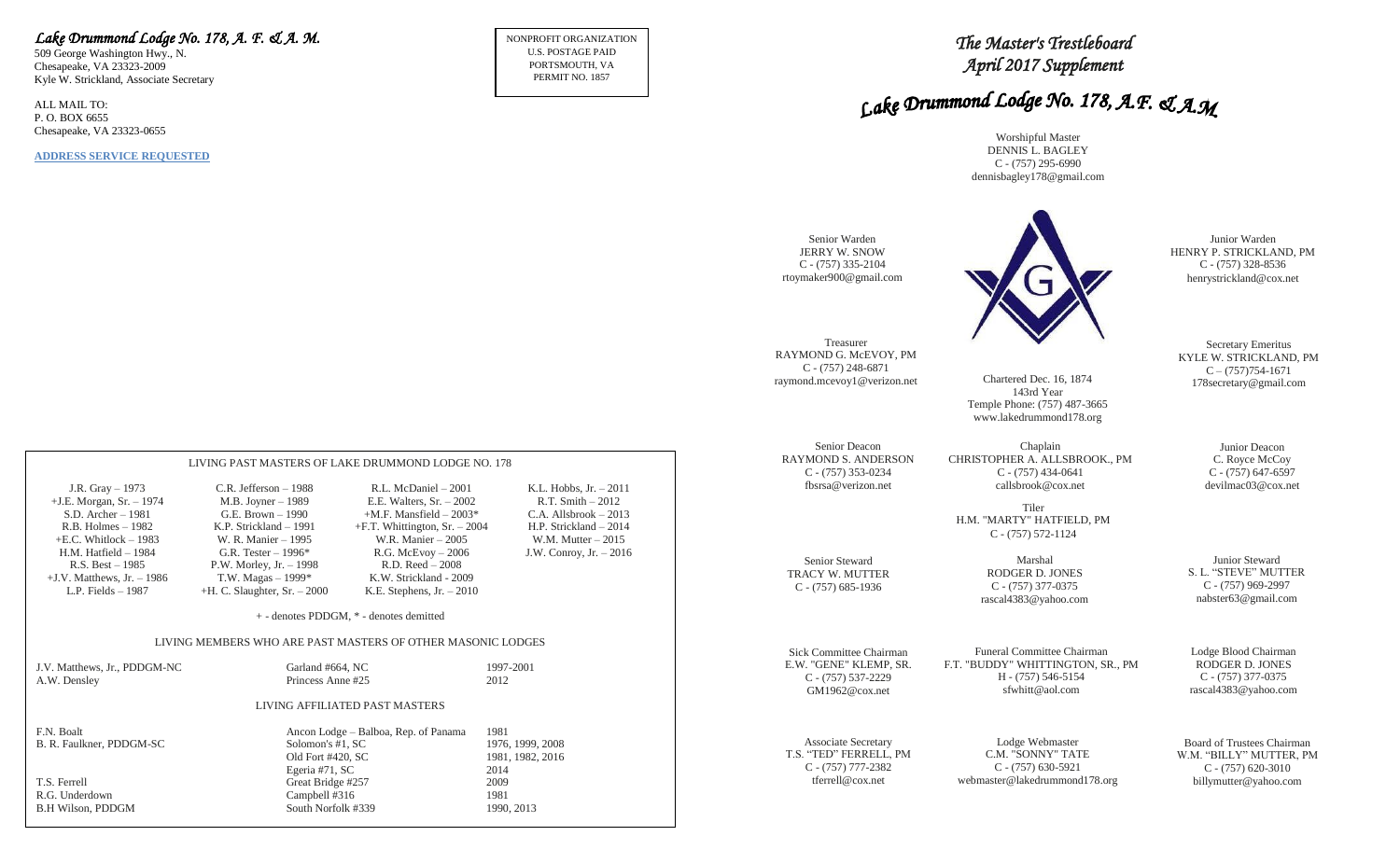## *Lake Drummond Lodge No. 178, A. F. & A. M.*

509 George Washington Hwy., N. Chesapeake, VA 23323-2009 Kyle W. Strickland, Associate Secretary

ALL MAIL TO: P. O. BOX 6655 Chesapeake, VA 23323-0655

**ADDRESS SERVICE REQUESTED**

NONPROFIT ORGANIZATION U.S. POSTAGE PAID PORTSMOUTH, VA PERMIT NO. 1857

# *The Master's Trestleboard April 2017 Supplement*

# Lake Drummond Lodge No. 178, A.F. & A.M

Worshipful Master DENNIS L. BAGLEY C - (757) 295-6990 dennisbagley178@gmail.com

| Senior Warden<br>JERRY W. SNOW<br>$C - (757)$ 335-2104<br>rtoymaker900@gmail.com              |                                                                                                          | Junior Warden<br>HENRY P. STRICKLAND, PM<br>$C - (757)$ 328-8536<br>henrystrickland@cox.net    |
|-----------------------------------------------------------------------------------------------|----------------------------------------------------------------------------------------------------------|------------------------------------------------------------------------------------------------|
| Treasurer<br>RAYMOND G. McEVOY, PM<br>$C - (757)$ 248-6871<br>raymond.mcevoy1@verizon.net     | Chartered Dec. 16, 1874<br>143rd Year<br>Temple Phone: (757) 487-3665<br>www.lakedrummond178.org         | Secretary Emeritus<br>KYLE W. STRICKLAND, PM<br>$C - (757)754-1671$<br>178 secretary@gmail.com |
| Senior Deacon<br><b>RAYMOND S. ANDERSON</b><br>$C - (757)$ 353-0234<br>fbsrsa@verizon.net     | Chaplain<br>CHRISTOPHER A. ALLSBROOK., PM<br>$C - (757)$ 434-0641<br>callsbrook@cox.net<br>Tiler         | Junior Deacon<br>C. Royce McCoy<br>$C - (757)$ 647-6597<br>devilmac03@cox.net                  |
| Senior Steward                                                                                | H.M. "MARTY" HATFIELD, PM<br>$C - (757) 572 - 1124$<br>Marshal                                           | Junior Steward                                                                                 |
| TRACY W. MUTTER<br>$C - (757)$ 685-1936                                                       | RODGER D. JONES<br>$C - (757)$ 377-0375<br>rascal4383@yahoo.com                                          | S. L. "STEVE" MUTTER<br>$C - (757)969-2997$<br>nabster63@gmail.com                             |
| Sick Committee Chairman<br>E.W. "GENE" KLEMP, SR.<br>$C - (757) 537 - 2229$<br>GM1962@cox.net | Funeral Committee Chairman<br>F.T. "BUDDY" WHITTINGTON, SR., PM<br>H - (757) 546-5154<br>sfwhitt@aol.com | Lodge Blood Chairman<br>RODGER D. JONES<br>$C - (757)$ 377-0375<br>rascal4383@yahoo.com        |
| <b>Associate Secretary</b><br>T.S. "TED" FERRELL, PM<br>$C - (757)$ 777-2382                  | Lodge Webmaster<br>C.M. "SONNY" TATE<br>$C - (757)$ 630-5921                                             | Board of Trustees Chairman<br>W.M. "BILLY" MUTTER, PM<br>$C - (757)$ 620-3010                  |

tferrell@cox.net

webmaster@lakedrummond178.org

billymutter@yahoo.com

|                                                                                                                                                                                                                                          | LIVING PAST MASTERS OF LAKE DRUMMOND LODGE NO. 178                                                                                                                                                                                   |                                                                                                                                                                                                                                                    |                                                                                                                                                          |
|------------------------------------------------------------------------------------------------------------------------------------------------------------------------------------------------------------------------------------------|--------------------------------------------------------------------------------------------------------------------------------------------------------------------------------------------------------------------------------------|----------------------------------------------------------------------------------------------------------------------------------------------------------------------------------------------------------------------------------------------------|----------------------------------------------------------------------------------------------------------------------------------------------------------|
| J.R. Gray $-1973$<br>$+J.E. Morgan, Sr. - 1974$<br>$S.D.$ Archer $-1981$<br>$R.B.$ Holmes $-1982$<br>$+E.C.$ Whitlock $-1983$<br>$H.M.$ Hatfield $-1984$<br>$R.S. Best - 1985$<br>$+J.V.$ Matthews, Jr. $-1986$<br>$L.P.$ Fields $-1987$ | $C.R.$ Jefferson $-1988$<br>M.B. Joyner – 1989<br>G.E. Brown $-1990$<br>K.P. Strickland – 1991<br>W. R. Manier – 1995<br>G.R. Tester $-1996*$<br>P.W. Morley, Jr. $-1998$<br>T.W. Magas $-1999*$<br>$+H$ . C. Slaughter, Sr. $-2000$ | R.L. McDaniel – 2001<br>E.E. Walters, $Sr. - 2002$<br>$+$ M.F. Mansfield – 2003*<br>$+F.T.$ Whittington, Sr. $-2004$<br>W.R. Manier - 2005<br>$R.G.$ McEvoy $-2006$<br>$R.D. Reed - 2008$<br>K.W. Strickland - 2009<br>K.E. Stephens, $Jr. - 2010$ | K.L. Hobbs, $Jr. - 2011$<br>$R.T. Smith - 2012$<br>$C.A.$ Allsbrook $-2013$<br>H.P. Strickland – 2014<br>W.M. Mutter $-2015$<br>J.W. Conroy, Jr. $-2016$ |
|                                                                                                                                                                                                                                          |                                                                                                                                                                                                                                      | + - denotes PDDGM, * - denotes demitted                                                                                                                                                                                                            |                                                                                                                                                          |
|                                                                                                                                                                                                                                          | LIVING MEMBERS WHO ARE PAST MASTERS OF OTHER MASONIC LODGES                                                                                                                                                                          |                                                                                                                                                                                                                                                    |                                                                                                                                                          |
| J.V. Matthews, Jr., PDDGM-NC<br>A.W. Densley                                                                                                                                                                                             | Garland #664, NC<br>Princess Anne#25                                                                                                                                                                                                 |                                                                                                                                                                                                                                                    | 1997-2001<br>2012                                                                                                                                        |
| LIVING AFFILIATED PAST MASTERS                                                                                                                                                                                                           |                                                                                                                                                                                                                                      |                                                                                                                                                                                                                                                    |                                                                                                                                                          |

| F.N. Boalt               | Ancon Lodge – Balboa, Rep. of Panama | 1981             |
|--------------------------|--------------------------------------|------------------|
| B. R. Faulkner, PDDGM-SC | Solomon's #1, SC                     | 1976, 1999, 2008 |
|                          | Old Fort #420, SC                    | 1981, 1982, 2016 |
|                          | Egeria #71, SC                       | 2014             |
| T.S. Ferrell             | Great Bridge #257                    | 2009             |
| R.G. Underdown           | Campbell #316                        | 1981             |
| B.H Wilson, PDDGM        | South Norfolk #339                   | 1990, 2013       |